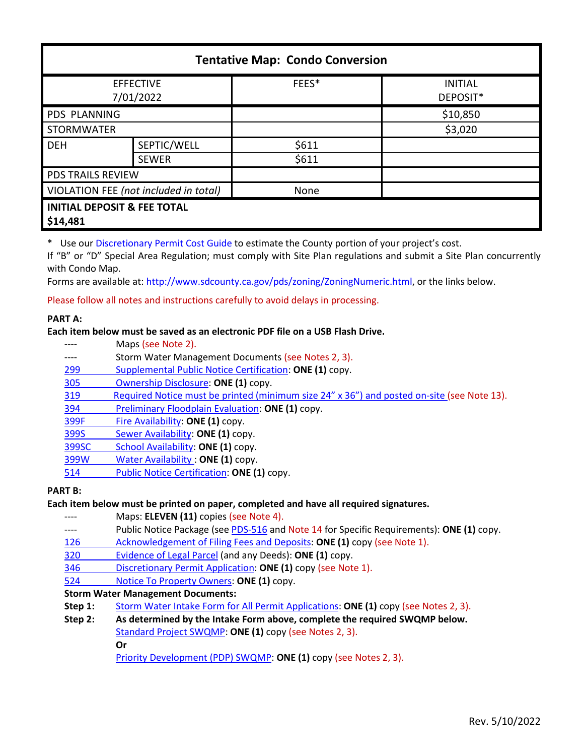| <b>Tentative Map: Condo Conversion</b>             |              |       |                            |  |
|----------------------------------------------------|--------------|-------|----------------------------|--|
| <b>EFFECTIVE</b><br>7/01/2022                      |              | FEES* | <b>INITIAL</b><br>DEPOSIT* |  |
| PDS PLANNING                                       |              |       | \$10,850                   |  |
| <b>STORMWATER</b>                                  |              |       | \$3,020                    |  |
| <b>DEH</b>                                         | SEPTIC/WELL  | \$611 |                            |  |
|                                                    | <b>SEWER</b> | \$611 |                            |  |
| <b>PDS TRAILS REVIEW</b>                           |              |       |                            |  |
| VIOLATION FEE (not included in total)              |              | None  |                            |  |
| <b>INITIAL DEPOSIT &amp; FEE TOTAL</b><br>\$14,481 |              |       |                            |  |

\* Use our [Discretionary Permit Cost Guide](http://www.sandiegocounty.gov/content/dam/sdc/pds/docs/Discretionary_Permit_Cost_Guide.xlsx) to estimate the County portion of your project's cost.

If "B" or "D" Special Area Regulation; must comply with Site Plan regulations and submit a Site Plan concurrently with Condo Map.

Forms are available at: [http://www.sdcounty.ca.gov/pds/zoning/ZoningNumeric.html,](http://www.sdcounty.ca.gov/pds/zoning/ZoningNumeric.html) or the links below.

Please follow all notes and instructions carefully to avoid delays in processing.

### **PART A:**

### **Each item below must be saved as an electronic PDF file on a USB Flash Drive.**

- ---- Maps (see Note 2).
- ---- Storm Water Management Documents (see Notes 2, 3).
- 299 [Supplemental Public Notice Certification:](http://www.sdcounty.ca.gov/pds/zoning/formfields/PDS-PLN-299.pdf) **ONE (1)** copy.
- [305 Ownership Disclosure:](http://www.sdcounty.ca.gov/pds/zoning/formfields/PDS-PLN-305.pdf) **ONE (1)** copy.
- [319 Required Notice must be printed \(minimum size 24" x 36"\) and posted on-site](https://www.sandiegocounty.gov/content/dam/sdc/pds/zoning/formfields/PDS-PLN-319.pdf) (see Note 13).
- 394 [Preliminary Floodplain Evaluation:](http://www.sdcounty.ca.gov/pds/zoning/formfields/PDS-PLN-394.pdf) **ONE (1)** copy.
- [399F Fire Availability:](http://www.sdcounty.ca.gov/pds/zoning/formfields/PDS-PLN-399F.pdf) **ONE (1)** copy.
- 399S [Sewer Availability:](http://www.sdcounty.ca.gov/pds/zoning/formfields/PDS-PLN-399S.pdf) **ONE (1)** copy.
- [399SC School Availability:](http://www.sdcounty.ca.gov/pds/zoning/formfields/PDS-PLN-399SC.pdf) **ONE (1)** copy.
- [399W Water Availability :](http://www.sdcounty.ca.gov/pds/zoning/formfields/PDS-PLN-399W.pdf) **ONE (1)** copy.
- 514 [Public Notice Certification:](http://www.sdcounty.ca.gov/pds/zoning/formfields/PDS-PLN-514.pdf) **ONE (1)** copy.

## **PART B:**

## **Each item below must be printed on paper, completed and have all required signatures.**

- ---- Maps: **ELEVEN (11)** copies (see Note 4).
- ---- Public Notice Package (se[e PDS-516 a](http://www.sdcounty.ca.gov/pds/zoning/formfields/PDS-PLN-516.pdf)nd Note 14 for Specific Requirements): **ONE (1)** copy.
- [126 Acknowledgement of Filing Fees and Deposits:](http://www.sdcounty.ca.gov/pds/zoning/formfields/PDS-PLN-126.pdf) **ONE (1)** copy (see Note 1).
- [320 Evidence of Legal Parcel](http://www.sdcounty.ca.gov/pds/zoning/formfields/PDS-PLN-320.pdf) (and any Deeds): **ONE (1)** copy.
- 346 [Discretionary Permit Application:](http://www.sdcounty.ca.gov/pds/zoning/formfields/PDS-PLN-346.pdf) **ONE (1)** copy (see Note 1).
- 524 [Notice To Property Owners:](http://www.sdcounty.ca.gov/pds/zoning/formfields/PDS-PLN-524.pdf) **ONE (1)** copy.

## **Storm Water Management Documents:**

- **Step 1:** [Storm Water Intake Form for All Permit Applications:](http://www.sandiegocounty.gov/content/dam/sdc/pds/zoning/formfields/SWQMP-Intake-Form.pdf) **ONE (1)** copy (see Notes 2, 3).
- **Step 2: As determined by the Intake Form above, complete the required SWQMP below.** [Standard Project SWQMP:](http://www.sandiegocounty.gov/content/dam/sdc/pds/zoning/formfields/SWQMP-Standard.pdf) **ONE (1)** copy (see Notes 2, 3).

**Or**

[Priority Development \(PDP\) SWQMP:](https://www.sandiegocounty.gov/content/sdc/dpw/watersheds/DevelopmentandConstruction/BMP_Design_Manual.html) **ONE (1)** copy (see Notes 2, 3).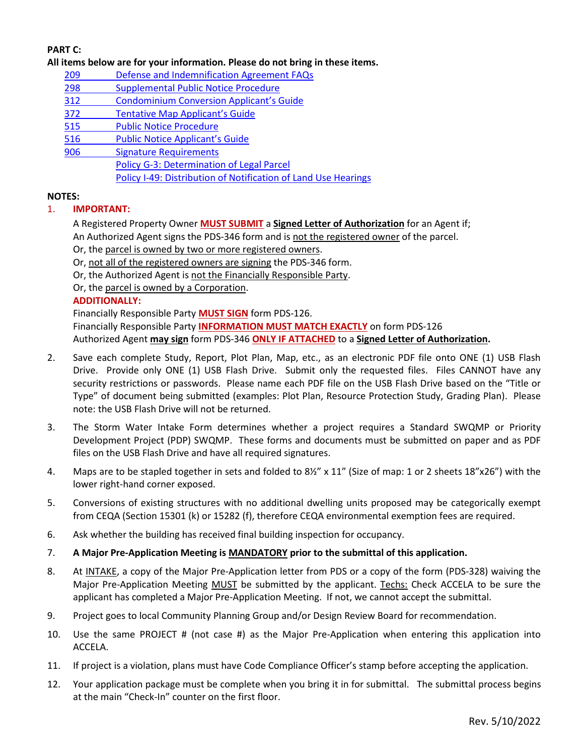# **PART C:**

#### **All items below are for your information. Please do not bring in these items.**

- 209 [Defense and Indemnification Agreement FAQs](http://www.sdcounty.ca.gov/pds/zoning/formfields/PDS-PLN-209.pdf)
- [298 Supplemental Public Notice Procedure](http://www.sdcounty.ca.gov/pds/zoning/formfields/PDS-PLN-298.pdf)
- 312 [Condominium Conversion Applicant's Guide](http://www.sdcounty.ca.gov/pds/zoning/formfields/PDS-PLN-312.pdf)
- 372 [Tentative Map Applicant's Guide](http://www.sdcounty.ca.gov/pds/zoning/formfields/PDS-PLN-372.pdf)
- [515 Public Notice Procedure](http://www.sdcounty.ca.gov/pds/zoning/formfields/PDS-PLN-515.pdf)
- [516 Public Notice Applicant's Guide](http://www.sdcounty.ca.gov/pds/zoning/formfields/PDS-PLN-516.pdf)
- 906 Signature Requirements
	- [Policy G-3: Determination of Legal Parcel](http://www.sdcounty.ca.gov/pds/zoning/formfields/POLICY-G-3.pdf)
		- [Policy I-49: Distribution of Notification of Land Use Hearings](http://www.sdcounty.ca.gov/cob/docs/policy/I-49.pdf)

### **NOTES:**

## 1. **IMPORTANT:**

A Registered Property Owner **MUST SUBMIT** a **Signed Letter of Authorization** for an Agent if;

An Authorized Agent signs the PDS-346 form and is not the registered owner of the parcel.

Or, the parcel is owned by two or more registered owners.

Or, not all of the registered owners are signing the PDS-346 form.

Or, the Authorized Agent is not the Financially Responsible Party.

Or, the parcel is owned by a Corporation.

### **ADDITIONALLY:**

Financially Responsible Party **MUST SIGN** form PDS-126. Financially Responsible Party **INFORMATION MUST MATCH EXACTLY** on form PDS-126 Authorized Agent **may sign** form PDS-346 **ONLY IF ATTACHED** to a **Signed Letter of Authorization.** 

- 2. Save each complete Study, Report, Plot Plan, Map, etc., as an electronic PDF file onto ONE (1) USB Flash Drive. Provide only ONE (1) USB Flash Drive. Submit only the requested files. Files CANNOT have any security restrictions or passwords. Please name each PDF file on the USB Flash Drive based on the "Title or Type" of document being submitted (examples: Plot Plan, Resource Protection Study, Grading Plan). Please note: the USB Flash Drive will not be returned.
- 3. The Storm Water Intake Form determines whether a project requires a Standard SWQMP or Priority Development Project (PDP) SWQMP. These forms and documents must be submitted on paper and as PDF files on the USB Flash Drive and have all required signatures.
- 4. Maps are to be stapled together in sets and folded to 8½" x 11" (Size of map: 1 or 2 sheets 18"x26") with the lower right-hand corner exposed.
- 5. Conversions of existing structures with no additional dwelling units proposed may be categorically exempt from CEQA (Section 15301 (k) or 15282 (f), therefore CEQA environmental exemption fees are required.
- 6. Ask whether the building has received final building inspection for occupancy.

## 7. **A Major Pre-Application Meeting is MANDATORY prior to the submittal of this application.**

- 8. At INTAKE, a copy of the Major Pre-Application letter from PDS or a copy of the form (PDS-328) waiving the Major Pre-Application Meeting MUST be submitted by the applicant. Techs: Check ACCELA to be sure the applicant has completed a Major Pre-Application Meeting. If not, we cannot accept the submittal.
- 9. Project goes to local Community Planning Group and/or Design Review Board for recommendation.
- 10. Use the same PROJECT # (not case #) as the Major Pre-Application when entering this application into ACCELA.
- 11. If project is a violation, plans must have Code Compliance Officer's stamp before accepting the application.
- 12. Your application package must be complete when you bring it in for submittal. The submittal process begins at the main "Check-In" counter on the first floor.